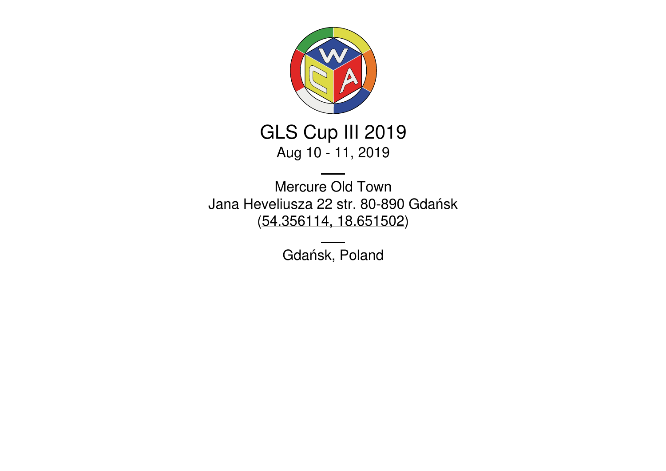

# GLS Cup III 2019 Aug 10 - 11, 2019

Mercure Old Town Jana Heveliusza 22 str. 80-890 Gdańsk [\(54.356114,](https://www.google.com/maps/place/54.356114,18.651502) 18.651502)

Gdańsk, Poland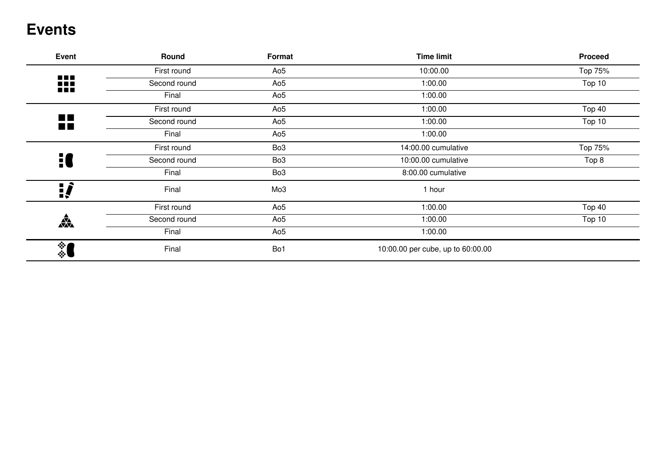### **Events**

| Event                            | Round        | Format          | <b>Time limit</b>                 | <b>Proceed</b> |
|----------------------------------|--------------|-----------------|-----------------------------------|----------------|
|                                  | First round  | Ao <sub>5</sub> | 10:00.00                          | Top 75%        |
| 88<br><b>BEE</b>                 | Second round | Ao5             | 1:00.00                           | Top 10         |
|                                  | Final        | Ao <sub>5</sub> | 1:00.00                           |                |
|                                  | First round  | Ao <sub>5</sub> | 1:00.00                           | Top 40         |
| $\blacksquare$<br>$\blacksquare$ | Second round | Ao <sub>5</sub> | 1:00.00                           | Top 10         |
|                                  | Final        | Ao5             | 1:00.00                           |                |
|                                  | First round  | Bo <sub>3</sub> | 14:00.00 cumulative               | Top 75%        |
| H                                | Second round | Bo <sub>3</sub> | 10:00.00 cumulative               | Top 8          |
|                                  | Final        | Bo <sub>3</sub> | 8:00.00 cumulative                |                |
| ¦,                               | Final        | Mo <sub>3</sub> | 1 hour                            |                |
|                                  | First round  | Ao <sub>5</sub> | 1:00.00                           | Top 40         |
| <b>AXX</b>                       | Second round | Ao <sub>5</sub> | 1:00.00                           | Top 10         |
|                                  | Final        | Ao5             | 1:00.00                           |                |
| $\frac{1}{2}$                    | Final        | Bo1             | 10:00.00 per cube, up to 60:00.00 |                |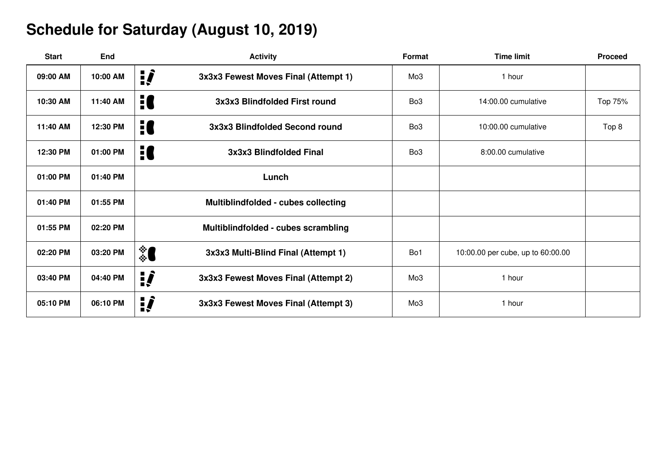## **Schedule for Saturday (August 10, 2019)**

| <b>Start</b> | <b>End</b> | <b>Activity</b>                            | Format          | <b>Time limit</b>                 | <b>Proceed</b> |
|--------------|------------|--------------------------------------------|-----------------|-----------------------------------|----------------|
| 09:00 AM     | 10:00 AM   | ij<br>3x3x3 Fewest Moves Final (Attempt 1) | Mo <sub>3</sub> | 1 hour                            |                |
| 10:30 AM     | 11:40 AM   | 10<br>3x3x3 Blindfolded First round        | Bo <sub>3</sub> | 14:00.00 cumulative               | Top 75%        |
| 11:40 AM     | 12:30 PM   | 10<br>3x3x3 Blindfolded Second round       | Bo <sub>3</sub> | 10:00.00 cumulative               | Top 8          |
| 12:30 PM     | 01:00 PM   | H<br>3x3x3 Blindfolded Final               | Bo <sub>3</sub> | 8:00.00 cumulative                |                |
| 01:00 PM     | 01:40 PM   | Lunch                                      |                 |                                   |                |
| 01:40 PM     | 01:55 PM   | Multiblindfolded - cubes collecting        |                 |                                   |                |
| 01:55 PM     | 02:20 PM   | Multiblindfolded - cubes scrambling        |                 |                                   |                |
| 02:20 PM     | 03:20 PM   | ै<br>3x3x3 Multi-Blind Final (Attempt 1)   | Bo1             | 10:00.00 per cube, up to 60:00.00 |                |
| 03:40 PM     | 04:40 PM   | ij<br>3x3x3 Fewest Moves Final (Attempt 2) | Mo <sub>3</sub> | 1 hour                            |                |
| 05:10 PM     | 06:10 PM   | ij<br>3x3x3 Fewest Moves Final (Attempt 3) | Mo <sub>3</sub> | 1 hour                            |                |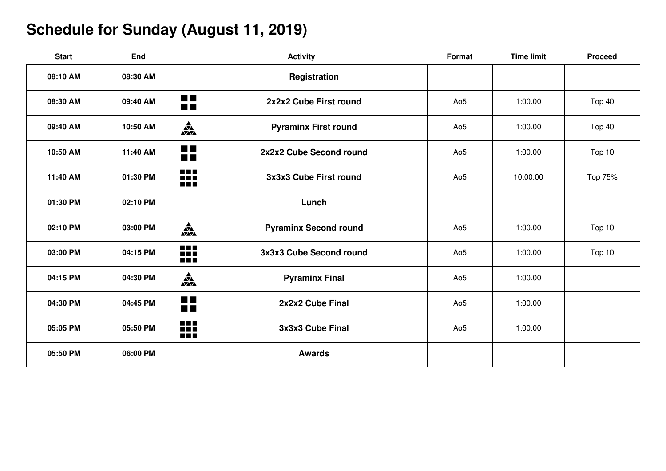## **Schedule for Sunday (August 11, 2019)**

| <b>Start</b> | End      | <b>Activity</b>                                         | Format          | <b>Time limit</b> | <b>Proceed</b> |
|--------------|----------|---------------------------------------------------------|-----------------|-------------------|----------------|
| 08:10 AM     | 08:30 AM | Registration                                            |                 |                   |                |
| 08:30 AM     | 09:40 AM | <b>STAR</b><br>2x2x2 Cube First round<br>$\blacksquare$ | Ao <sub>5</sub> | 1:00.00           | Top 40         |
| 09:40 AM     | 10:50 AM | 森<br><b>Pyraminx First round</b>                        | Ao <sub>5</sub> | 1:00.00           | Top 40         |
| 10:50 AM     | 11:40 AM | $\blacksquare$<br>2x2x2 Cube Second round<br><b>FIL</b> | Ao <sub>5</sub> | 1:00.00           | Top 10         |
| 11:40 AM     | 01:30 PM | <b>BEE</b><br>3x3x3 Cube First round<br>Ħ               | Ao <sub>5</sub> | 10:00.00          | Top 75%        |
| 01:30 PM     | 02:10 PM | Lunch                                                   |                 |                   |                |
| 02:10 PM     | 03:00 PM | 森<br><b>Pyraminx Second round</b>                       | Ao <sub>5</sub> | 1:00.00           | Top 10         |
| 03:00 PM     | 04:15 PM | $\blacksquare$<br>3x3x3 Cube Second round<br>Ħ          | Ao <sub>5</sub> | 1:00.00           | Top 10         |
| 04:15 PM     | 04:30 PM | 森<br><b>Pyraminx Final</b>                              | Ao <sub>5</sub> | 1:00.00           |                |
| 04:30 PM     | 04:45 PM | <b>THE R</b><br>2x2x2 Cube Final<br>$\blacksquare$      | Ao <sub>5</sub> | 1:00.00           |                |
| 05:05 PM     | 05:50 PM | $\blacksquare$<br>3x3x3 Cube Final<br>Ħ                 | Ao <sub>5</sub> | 1:00.00           |                |
| 05:50 PM     | 06:00 PM | <b>Awards</b>                                           |                 |                   |                |